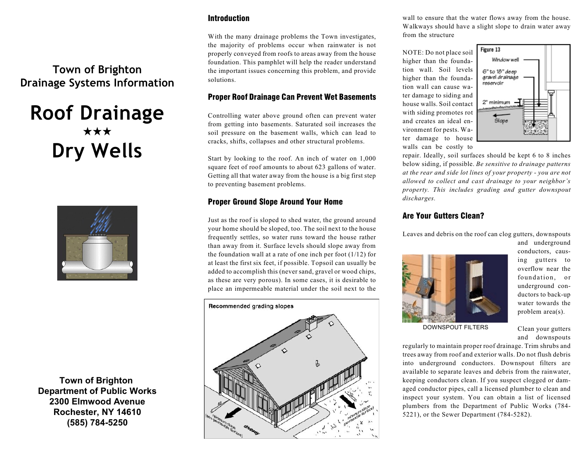### Introduction

With the many drainage problems the Town investigates, the majority of problems occur when rainwater is not properly conveyed from roofs to areas away from the house foundation. This pamphlet will help the reader understand the important issues concerning this problem, and provide solutions.

### Proper Roof Drainage Can Prevent Wet Basements

Controlling water above ground often can prevent water from getting into basements. Saturated soil increases the soil pressure on the basement walls, which can lead to cracks, shifts, collapses and other structural problems.

Start by looking to the roof. An inch of water on 1,000 square feet of roof amounts to about 623 gallons of water. Getting all that water away from the house is a big first step to preventing basement problems.

### Proper Ground Slope Around Your Home

Just as the roof is sloped to shed water, the ground around your home should be sloped, too. The soil next to the house frequently settles, so water runs toward the house rather than away from it. Surface levels should slope away from the foundation wall at a rate of one inch per foot  $(1/12)$  for at least the first six feet, if possible. Topsoil can usually be added to accomplish this (never sand, gravel or wood chips, as these are very porous). In some cases, it is desirable to place an impermeable material under the soil next to the

# Recommended grading slopes

wall to ensure that the water flows away from the house. Walkways should have a slight slope to drain water away from the structure

NOTE: Do not place soil higher than the foundation wall. Soil levels higher than the foundation wall can cause water damage to siding and house walls. Soil contact with siding promotes rot and creates an ideal environment for pests. Water damage to house walls can be costly to



repair. Ideally, soil surfaces should be kept 6 to 8 inches below siding, if possible. *Be sensitive to drainage patterns at the rear and side lot lines of your property - you are not allowed to collect and cast drainage to your neighbor's property. This includes grading and gutter downspout discharges.*

### Are Your Gutters Clean?

Leaves and debris on the roof can clog gutters, downspouts



and underground conductors, causing gutters to overflow near the foundation, or underground conductors to back-up water towards the problem area(s).

DOWNSPOUT FILTERS

Clean your gutters and downspouts

regularly to maintain proper roof drainage. Trim shrubs and trees away from roof and exterior walls. Do not flush debris into underground conductors. Downspout filters are available to separate leaves and debris from the rainwater, keeping conductors clean. If you suspect clogged or damaged conductor pipes, call a licensed plumber to clean and inspect your system. You can obtain a list of licensed plumbers from the Department of Public Works (784- 5221), or the Sewer Department (784-5282).

## **Town of Brighton Drainage Systems Information**

# **Roof Drainage**  $\star\star\star$ **Dry Wells**



**Town of Brighton Department of Public Works 2300 Elmwood Avenue Rochester, NY 14610 (585) 784-5250**